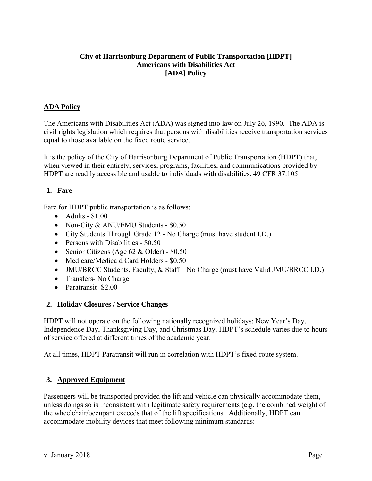### **City of Harrisonburg Department of Public Transportation [HDPT] Americans with Disabilities Act [ADA] Policy**

### **ADA Policy**

The Americans with Disabilities Act (ADA) was signed into law on July 26, 1990. The ADA is civil rights legislation which requires that persons with disabilities receive transportation services equal to those available on the fixed route service.

It is the policy of the City of Harrisonburg Department of Public Transportation (HDPT) that, when viewed in their entirety, services, programs, facilities, and communications provided by HDPT are readily accessible and usable to individuals with disabilities. 49 CFR 37.105

# **1. Fare**

Fare for HDPT public transportation is as follows:

- $\bullet$  Adults \$1.00
- Non-City & ANU/EMU Students \$0.50
- City Students Through Grade 12 No Charge (must have student I.D.)
- Persons with Disabilities \$0.50
- Senior Citizens (Age 62 & Older) \$0.50
- Medicare/Medicaid Card Holders \$0.50
- JMU/BRCC Students, Faculty, & Staff No Charge (must have Valid JMU/BRCC I.D.)
- Transfers- No Charge
- Paratransit- \$2.00

### **2. Holiday Closures / Service Changes**

HDPT will not operate on the following nationally recognized holidays: New Year's Day, Independence Day, Thanksgiving Day, and Christmas Day. HDPT's schedule varies due to hours of service offered at different times of the academic year.

At all times, HDPT Paratransit will run in correlation with HDPT's fixed-route system.

## **3. Approved Equipment**

Passengers will be transported provided the lift and vehicle can physically accommodate them, unless doings so is inconsistent with legitimate safety requirements (e.g. the combined weight of the wheelchair/occupant exceeds that of the lift specifications. Additionally, HDPT can accommodate mobility devices that meet following minimum standards: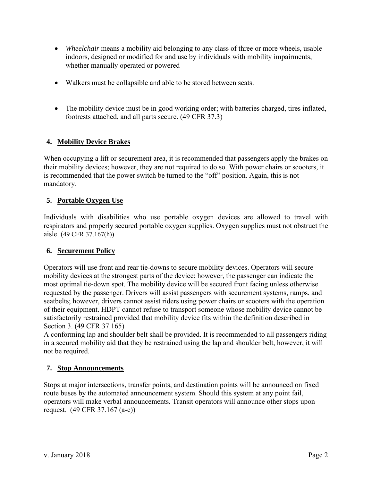- *Wheelchair* means a mobility aid belonging to any class of three or more wheels, usable indoors, designed or modified for and use by individuals with mobility impairments, whether manually operated or powered
- Walkers must be collapsible and able to be stored between seats.
- The mobility device must be in good working order; with batteries charged, tires inflated, footrests attached, and all parts secure. (49 CFR 37.3)

## **4. Mobility Device Brakes**

When occupying a lift or securement area, it is recommended that passengers apply the brakes on their mobility devices; however, they are not required to do so. With power chairs or scooters, it is recommended that the power switch be turned to the "off" position. Again, this is not mandatory.

### **5. Portable Oxygen Use**

Individuals with disabilities who use portable oxygen devices are allowed to travel with respirators and properly secured portable oxygen supplies. Oxygen supplies must not obstruct the aisle. (49 CFR 37.167(h))

### **6. Securement Policy**

Operators will use front and rear tie-downs to secure mobility devices. Operators will secure mobility devices at the strongest parts of the device; however, the passenger can indicate the most optimal tie-down spot. The mobility device will be secured front facing unless otherwise requested by the passenger. Drivers will assist passengers with securement systems, ramps, and seatbelts; however, drivers cannot assist riders using power chairs or scooters with the operation of their equipment. HDPT cannot refuse to transport someone whose mobility device cannot be satisfactorily restrained provided that mobility device fits within the definition described in Section 3. (49 CFR 37.165)

A conforming lap and shoulder belt shall be provided. It is recommended to all passengers riding in a secured mobility aid that they be restrained using the lap and shoulder belt, however, it will not be required.

### **7. Stop Announcements**

Stops at major intersections, transfer points, and destination points will be announced on fixed route buses by the automated announcement system. Should this system at any point fail, operators will make verbal announcements. Transit operators will announce other stops upon request. (49 CFR 37.167 (a-c))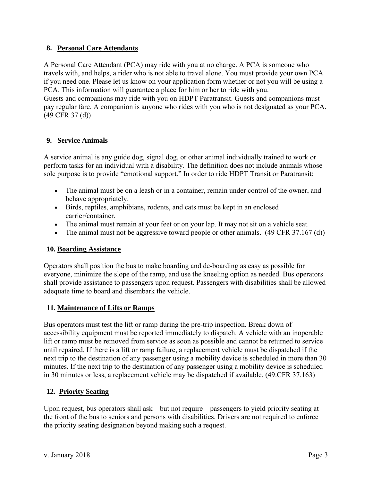### **8. Personal Care Attendants**

A Personal Care Attendant (PCA) may ride with you at no charge. A PCA is someone who travels with, and helps, a rider who is not able to travel alone. You must provide your own PCA if you need one. Please let us know on your application form whether or not you will be using a PCA. This information will guarantee a place for him or her to ride with you.

Guests and companions may ride with you on HDPT Paratransit. Guests and companions must pay regular fare. A companion is anyone who rides with you who is not designated as your PCA. (49 CFR 37 (d))

## **9. Service Animals**

A service animal is any guide dog, signal dog, or other animal individually trained to work or perform tasks for an individual with a disability. The definition does not include animals whose sole purpose is to provide "emotional support." In order to ride HDPT Transit or Paratransit:

- The animal must be on a leash or in a container, remain under control of the owner, and behave appropriately.
- Birds, reptiles, amphibians, rodents, and cats must be kept in an enclosed carrier/container.
- The animal must remain at your feet or on your lap. It may not sit on a vehicle seat.
- The animal must not be aggressive toward people or other animals.  $(49 \text{ CFR } 37.167 \text{ (d)})$

## **10. Boarding Assistance**

Operators shall position the bus to make boarding and de-boarding as easy as possible for everyone, minimize the slope of the ramp, and use the kneeling option as needed. Bus operators shall provide assistance to passengers upon request. Passengers with disabilities shall be allowed adequate time to board and disembark the vehicle.

## **11. Maintenance of Lifts or Ramps**

Bus operators must test the lift or ramp during the pre-trip inspection. Break down of accessibility equipment must be reported immediately to dispatch. A vehicle with an inoperable lift or ramp must be removed from service as soon as possible and cannot be returned to service until repaired. If there is a lift or ramp failure, a replacement vehicle must be dispatched if the next trip to the destination of any passenger using a mobility device is scheduled in more than 30 minutes. If the next trip to the destination of any passenger using a mobility device is scheduled in 30 minutes or less, a replacement vehicle may be dispatched if available. (49.CFR 37.163)

## **12. Priority Seating**

Upon request, bus operators shall ask  $-$  but not require  $-$  passengers to yield priority seating at the front of the bus to seniors and persons with disabilities. Drivers are not required to enforce the priority seating designation beyond making such a request.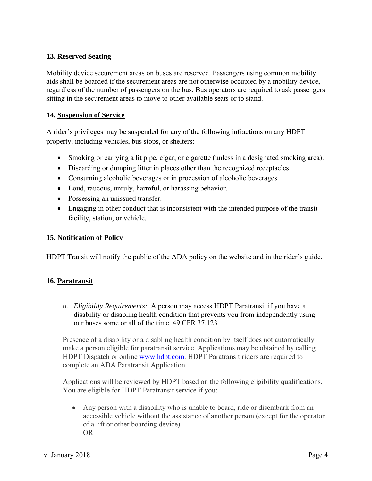### **13. Reserved Seating**

Mobility device securement areas on buses are reserved. Passengers using common mobility aids shall be boarded if the securement areas are not otherwise occupied by a mobility device, regardless of the number of passengers on the bus. Bus operators are required to ask passengers sitting in the securement areas to move to other available seats or to stand.

### **14. Suspension of Service**

A rider's privileges may be suspended for any of the following infractions on any HDPT property, including vehicles, bus stops, or shelters:

- Smoking or carrying a lit pipe, cigar, or cigarette (unless in a designated smoking area).
- Discarding or dumping litter in places other than the recognized receptacles.
- Consuming alcoholic beverages or in procession of alcoholic beverages.
- Loud, raucous, unruly, harmful, or harassing behavior.
- Possessing an unissued transfer.
- Engaging in other conduct that is inconsistent with the intended purpose of the transit facility, station, or vehicle.

### **15. Notification of Policy**

HDPT Transit will notify the public of the ADA policy on the website and in the rider's guide.

### **16. Paratransit**

*a. Eligibility Requirements:* A person may access HDPT Paratransit if you have a disability or disabling health condition that prevents you from independently using our buses some or all of the time. 49 CFR 37.123

Presence of a disability or a disabling health condition by itself does not automatically make a person eligible for paratransit service. Applications may be obtained by calling HDPT Dispatch or online www.hdpt.com. HDPT Paratransit riders are required to complete an ADA Paratransit Application.

Applications will be reviewed by HDPT based on the following eligibility qualifications. You are eligible for HDPT Paratransit service if you:

 Any person with a disability who is unable to board, ride or disembark from an accessible vehicle without the assistance of another person (except for the operator of a lift or other boarding device) OR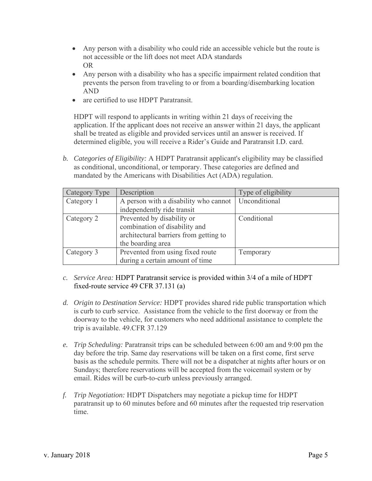- Any person with a disability who could ride an accessible vehicle but the route is not accessible or the lift does not meet ADA standards OR
- Any person with a disability who has a specific impairment related condition that prevents the person from traveling to or from a boarding/disembarking location AND
- are certified to use HDPT Paratransit.

HDPT will respond to applicants in writing within 21 days of receiving the application. If the applicant does not receive an answer within 21 days, the applicant shall be treated as eligible and provided services until an answer is received. If determined eligible, you will receive a Rider's Guide and Paratransit I.D. card.

*b. Categories of Eligibility:* A HDPT Paratransit applicant's eligibility may be classified as conditional, unconditional, or temporary. These categories are defined and mandated by the Americans with Disabilities Act (ADA) regulation.

| Category Type | Description                            | Type of eligibility |
|---------------|----------------------------------------|---------------------|
| Category 1    | A person with a disability who cannot  | Unconditional       |
|               | independently ride transit             |                     |
| Category 2    | Prevented by disability or             | Conditional         |
|               | combination of disability and          |                     |
|               | architectural barriers from getting to |                     |
|               | the boarding area                      |                     |
| Category 3    | Prevented from using fixed route       | Temporary           |
|               | during a certain amount of time        |                     |

- *c. Service Area:* HDPT Paratransit service is provided within 3/4 of a mile of HDPT fixed-route service 49 CFR 37.131 (a)
- *d. Origin to Destination Service:* HDPT provides shared ride public transportation which is curb to curb service. Assistance from the vehicle to the first doorway or from the doorway to the vehicle, for customers who need additional assistance to complete the trip is available. 49.CFR 37.129
- *e. Trip Scheduling:* Paratransit trips can be scheduled between 6:00 am and 9:00 pm the day before the trip. Same day reservations will be taken on a first come, first serve basis as the schedule permits. There will not be a dispatcher at nights after hours or on Sundays; therefore reservations will be accepted from the voicemail system or by email. Rides will be curb-to-curb unless previously arranged.
- *f. Trip Negotiation:* HDPT Dispatchers may negotiate a pickup time for HDPT paratransit up to 60 minutes before and 60 minutes after the requested trip reservation time.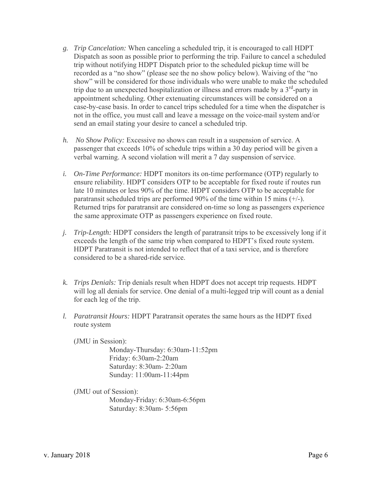- *g. Trip Cancelation:* When canceling a scheduled trip, it is encouraged to call HDPT Dispatch as soon as possible prior to performing the trip. Failure to cancel a scheduled trip without notifying HDPT Dispatch prior to the scheduled pickup time will be recorded as a "no show" (please see the no show policy below). Waiving of the "no show" will be considered for those individuals who were unable to make the scheduled trip due to an unexpected hospitalization or illness and errors made by a  $3<sup>rd</sup>$ -party in appointment scheduling. Other extenuating circumstances will be considered on a case-by-case basis. In order to cancel trips scheduled for a time when the dispatcher is not in the office, you must call and leave a message on the voice-mail system and/or send an email stating your desire to cancel a scheduled trip.
- *h. No Show Policy:* Excessive no shows can result in a suspension of service. A passenger that exceeds 10% of schedule trips within a 30 day period will be given a verbal warning. A second violation will merit a 7 day suspension of service.
- *i. On-Time Performance:* HDPT monitors its on-time performance (OTP) regularly to ensure reliability. HDPT considers OTP to be acceptable for fixed route if routes run late 10 minutes or less 90% of the time. HDPT considers OTP to be acceptable for paratransit scheduled trips are performed 90% of the time within 15 mins (+/-). Returned trips for paratransit are considered on-time so long as passengers experience the same approximate OTP as passengers experience on fixed route.
- *j. Trip-Length:* HDPT considers the length of paratransit trips to be excessively long if it exceeds the length of the same trip when compared to HDPT's fixed route system. HDPT Paratransit is not intended to reflect that of a taxi service, and is therefore considered to be a shared-ride service.
- *k. Trips Denials:* Trip denials result when HDPT does not accept trip requests. HDPT will log all denials for service. One denial of a multi-legged trip will count as a denial for each leg of the trip.
- *l. Paratransit Hours:* HDPT Paratransit operates the same hours as the HDPT fixed route system

(JMU in Session):

Monday-Thursday: 6:30am-11:52pm Friday: 6:30am-2:20am Saturday: 8:30am- 2:20am Sunday: 11:00am-11:44pm

(JMU out of Session):

Monday-Friday: 6:30am-6:56pm Saturday: 8:30am- 5:56pm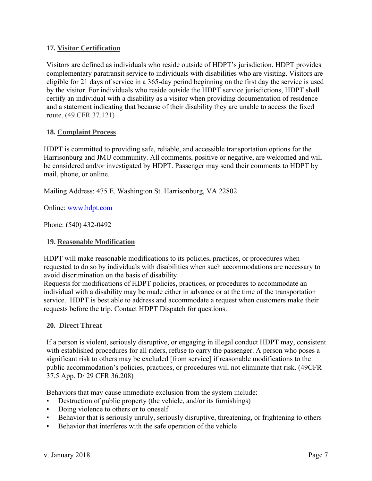### **17. Visitor Certification**

Visitors are defined as individuals who reside outside of HDPT's jurisdiction. HDPT provides complementary paratransit service to individuals with disabilities who are visiting. Visitors are eligible for 21 days of service in a 365-day period beginning on the first day the service is used by the visitor. For individuals who reside outside the HDPT service jurisdictions, HDPT shall certify an individual with a disability as a visitor when providing documentation of residence and a statement indicating that because of their disability they are unable to access the fixed route. (49 CFR 37.121)

### **18. Complaint Process**

HDPT is committed to providing safe, reliable, and accessible transportation options for the Harrisonburg and JMU community. All comments, positive or negative, are welcomed and will be considered and/or investigated by HDPT. Passenger may send their comments to HDPT by mail, phone, or online.

Mailing Address: 475 E. Washington St. Harrisonburg, VA 22802

Online: www.hdpt.com

Phone: (540) 432-0492

#### **19. Reasonable Modification**

HDPT will make reasonable modifications to its policies, practices, or procedures when requested to do so by individuals with disabilities when such accommodations are necessary to avoid discrimination on the basis of disability.

Requests for modifications of HDPT policies, practices, or procedures to accommodate an individual with a disability may be made either in advance or at the time of the transportation service. HDPT is best able to address and accommodate a request when customers make their requests before the trip. Contact HDPT Dispatch for questions.

#### **20. Direct Threat**

If a person is violent, seriously disruptive, or engaging in illegal conduct HDPT may, consistent with established procedures for all riders, refuse to carry the passenger. A person who poses a significant risk to others may be excluded [from service] if reasonable modifications to the public accommodation's policies, practices, or procedures will not eliminate that risk. (49CFR 37.5 App. D/ 29 CFR 36.208)

Behaviors that may cause immediate exclusion from the system include:

- Destruction of public property (the vehicle, and/or its furnishings)
- Doing violence to others or to oneself
- Behavior that is seriously unruly, seriously disruptive, threatening, or frightening to others
- Behavior that interferes with the safe operation of the vehicle